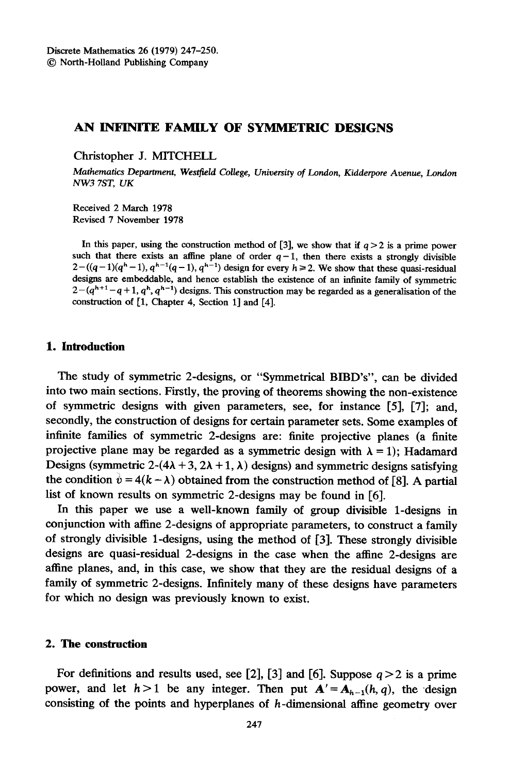# AN INFINITE FAMILY OF SYMMETRIC DESIGNS

Christopher J. MITCHELL

Mathematics Department, Westfield College, University of London, Kidderpore Avenue, London NW37ST, UK

Received 2 March 1978 Revised 7 November 1978

In this paper, using the construction method of [3], we show that if  $q > 2$  is a prime power such that there exists an affine plane of order  $q-1$ , then there exists a strongly divisible  $2-((q-1)(q^h-1), q^{h-1}(q-1), q^{h-1})$  design for every  $h \ge 2$ . We show that these quasi-residual designs are embeddable, and hence establish the existence of an infinite family of symmetric  $2-(q^{h+1}-q+1, q^h, q^{h-1})$  designs. This construction may be regarded as a generalisation of the construction of [1, Chapter 4, Section 1] and [4].

# 1. Introduction

The study of symmetric 2-designs, or "Symmetrical BffiD's", can be divided into two main sections. Firstly, the proving of theorems showing the non-existence of symmetric designs with given parameters, see, for instance [5], [7]; and, secondly, the construction of designs for certain parameter sets. Some examples of infinite families of symmetric 2-designs are: finite projective planes (a finite projective plane may be regarded as a symmetric design with  $\lambda = 1$ ; Hadamard Designs (symmetric 2-(4 $\lambda$  + 3, 2 $\lambda$  + 1,  $\lambda$ ) designs) and symmetric designs satisfying the condition  $\dot{v} = 4(k - \lambda)$  obtained from the construction method of [8]. A partial list of known results on symmetric 2-designs may be found in [6].

In this paper we use a well-known family of group divisible 1-designs in conjunction with affine 2-designs of appropriate parameters, to construct a family of strongly divisible 1-designs, using the method of  $[3]$ . These strongly divisible designs are quasi-residual 2-designs in the case when the affine 2-designs are affine planes, and, in this case, we show that they are the residual designs of a family of symmetric 2-designs. Infinitely many of these designs have parameters for which no design was previously known to exist.

## 2. The construction

For definitions and results used, see [2], [3] and [6]. Suppose  $q > 2$  is a prime power, and let  $h > 1$  be any integer. Then put  $A' = A_{h-1}(h,q)$ , the design consisting of the points and hyperplanes of h-dimensional affine geometry over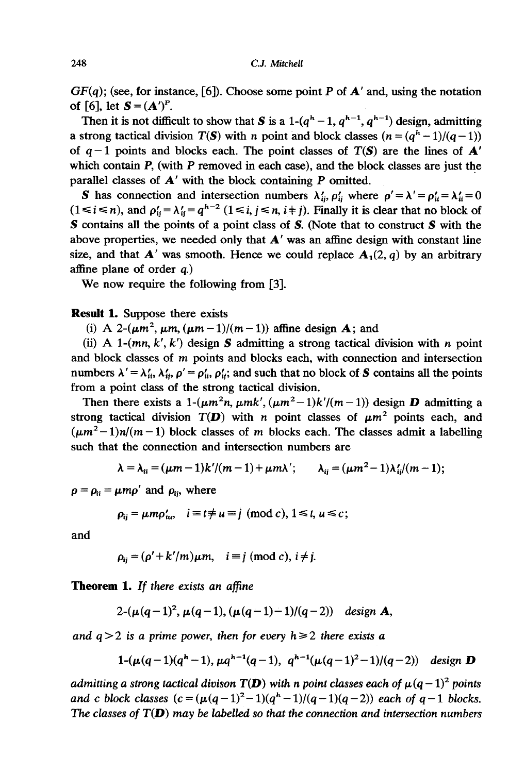$GF(a)$ ; (see, for instance, [6]). Choose some point P of  $A'$  and, using the notation of [6], let  $S = (A')^P$ .

Then it is not difficult to show that S is a 1- $(q<sup>h</sup>-1, q<sup>h-1</sup>, q<sup>h-1</sup>)$  design, admitting a strong tactical division  $T(S)$  with n point and block classes  $(n = (a<sup>h</sup> - 1)/(a - 1))$ of  $q-1$  points and blocks each. The point classes of  $T(S)$  are the lines of  $A'$ which contain  $P$ , (with  $P$  removed in each case), and the block classes are just the parallel classes of  $A'$  with the block containing  $P$  omitted.

**S** has connection and intersection numbers  $\lambda'_{ii}, \rho'_{ii}$  where  $\rho' = \lambda' = \rho'_{ii} = \lambda'_{ii} = 0$  $(1 \le i \le n)$ , and  $\rho'_{ii} = \lambda'_{ii} = q^{h-2}$   $(1 \le i, j \le n, i+j)$ . Finally it is clear that no block of S contains all the points of a point class of S. (Note that to construct S with the above properties, we needed only that  $A'$  was an affine design with constant line size, and that  $A'$  was smooth. Hence we could replace  $A_1(2, q)$  by an arbitrary affine plane of order  $a$ .)

We now require the following from [3].

### Result 1. Suppose there exists

(i) A 2- $(\mu m^2, \mu m, (\mu m - 1)/(m - 1))$  affine design **A**; and

(ii) A 1- $(mn, k', k')$  design S admitting a strong tactical division with n point and block classes of m points and blocks each, with connection and intersection numbers  $\lambda' = \lambda'_{ii}, \lambda'_{ii}, \rho' = \rho'_{ii}, \rho'_{ii}$ ; and such that no block of S contains all the points from a point class of the strong tactical division.

Then there exists a 1- $(\mu m^2 n, \mu m k', (\mu m^2-1)k'/(m-1))$  design **D** admitting a strong tactical division  $T(D)$  with n point classes of  $\mu m^2$  points each, and  $(\mu m^2-1)n/(m-1)$  block classes of m blocks each. The classes admit a labelling such that the connection and intersection numbers are

$$
\lambda = \lambda_{ii} = (\mu m - 1)k^{\prime}/(m - 1) + \mu m \lambda^{\prime}; \qquad \lambda_{ii} = (\mu m^2 - 1)\lambda_{ii}^{\prime}/(m - 1);
$$

 $\rho = \rho_{ii} = \mu m \rho'$  and  $\rho_{ii}$ , where

$$
\rho_{ii} = \mu m \rho'_{uv}, \quad i \equiv t \neq u \equiv j \pmod{c}, \ 1 \leq t, \ u \leq c;
$$

and

$$
\rho_{ii} = (\rho' + k'/m)\mu m, \quad i \equiv j \pmod{c}, i \neq j.
$$

Theorem 1. If there exists an affine

$$
2-(\mu(q-1)^2, \mu(q-1), (\mu(q-1)-1)/(q-2))
$$
 design **A**,

and  $q > 2$  is a prime power, then for every  $h \ge 2$  there exists a

$$
1-(\mu(q-1)(q^{h}-1), \mu q^{h-1}(q-1), q^{h-1}(\mu(q-1)^{2}-1)/(q-2)) \text{ design } D
$$

admitting a strong tactical divison  $T(D)$  with n point classes each of  $\mu(q - 1)^2$  points and c block classes  $(c = (\mu(q-1)^2-1)(q^h-1)/(q-1)(q-2))$  each of  $q-1$  blocks. The classes of  $T(D)$  may be labelled so that the connection and intersection numbers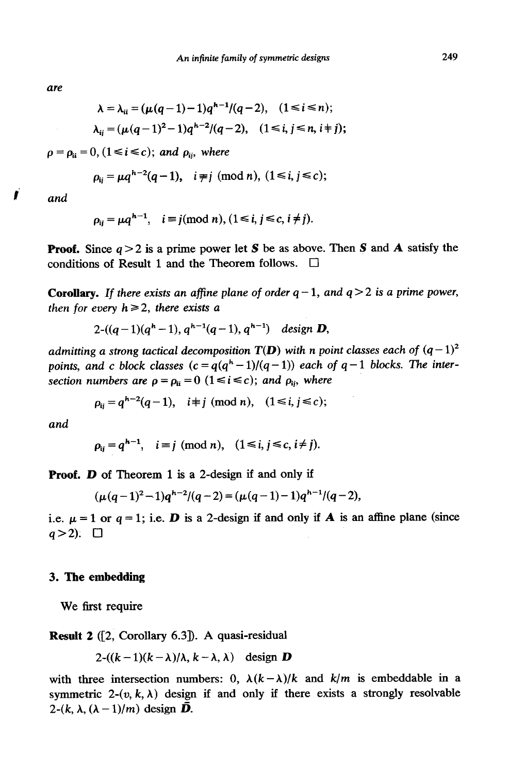are

$$
\lambda = \lambda_{ii} = (\mu(q-1)-1)q^{h-1}/(q-2), \quad (1 \le i \le n);
$$
  

$$
\lambda_{ij} = (\mu(q-1)^2 - 1)q^{h-2}/(q-2), \quad (1 \le i, j \le n, i+j);
$$

 $\rho = \rho_{ii} = 0$ , (1  $\leq i \leq c$ ); and  $\rho_{ii}$ , where

$$
\rho_{ij} = \mu q^{h-2}(q-1), \quad i \neq j \pmod{n}, \ (1 \leq i, j \leq c);
$$

 $i$  and

$$
\rho_{ij} = \mu q^{h-1}, \quad i \equiv j \pmod{n}, \quad (1 \le i, j \le c, i \ne j).
$$

**Proof.** Since  $q > 2$  is a prime power let S be as above. Then S and A satisfy the conditions of Result 1 and the Theorem follows.  $\Box$ 

**Corollary.** If there exists an affine plane of order  $q-1$ , and  $q>2$  is a prime power, then for every  $h \ge 2$ , there exists a

$$
2-((q-1)(qh-1), qh-1(q-1), qh-1) \text{ design } D,
$$

admitting a strong tactical decomposition  $T(D)$  with n point classes each of  $(q-1)^2$ points, and c block classes  $(c = q(q<sup>h</sup> - 1)/(q - 1))$  each of  $q - 1$  blocks. The intersection numbers are  $\rho = \rho_{ii} = 0$  (1  $\le i \le c$ ); and  $\rho_{ii}$ , where

$$
\rho_{ij} = q^{h-2}(q-1), \quad i \not\equiv j \pmod{n}, \quad (1 \le i, j \le c);
$$

and

$$
\rho_{ij} = q^{h-1}, \quad i \equiv j \pmod{n}, \quad (1 \le i, j \le c, i \ne j).
$$

Proof. D of Theorem 1 is a 2-design if and only if

$$
(\mu(q-1)^2-1)q^{h-2}/(q-2)=(\mu(q-1)-1)q^{h-1}/(q-2),
$$

i.e.  $\mu = 1$  or  $q = 1$ ; i.e. **D** is a 2-design if and only if **A** is an affine plane (since  $q > 2$ ).  $\Box$ 

### 3. The embedding

We first require

Result 2 ([2, Corollary 6.3]). A quasi-residual

$$
2-(k-1)(k-\lambda)/\lambda, k-\lambda, \lambda)
$$
 design **D**

with three intersection numbers: 0,  $\lambda(k-\lambda)/k$  and  $k/m$  is embeddable in a symmetric 2- $(v, k, \lambda)$  design if and only if there exists a strongly resolvable 2- $(k, \lambda, (\lambda - 1)/m)$  design  $\bar{D}$ .